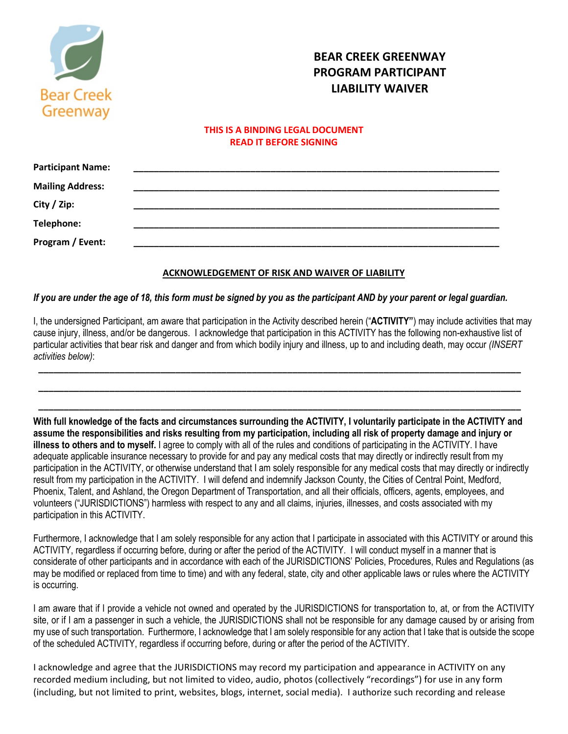

# **BEAR CREEK GREENWAY PROGRAM PARTICIPANT LIABILITY WAIVER**

### **THIS IS A BINDING LEGAL DOCUMENT READ IT BEFORE SIGNING**

| <b>Participant Name:</b> |  |
|--------------------------|--|
| <b>Mailing Address:</b>  |  |
| City / Zip:              |  |
|                          |  |
| Telephone:               |  |
| Program / Event:         |  |
|                          |  |

#### **ACKNOWLEDGEMENT OF RISK AND WAIVER OF LIABILITY**

#### *If you are under the age of 18, this form must be signed by you as the participant AND by your parent or legal guardian.*

I, the undersigned Participant, am aware that participation in the Activity described herein ("**ACTIVITY"**) may include activities that may cause injury, illness, and/or be dangerous. I acknowledge that participation in this ACTIVITY has the following non-exhaustive list of particular activities that bear risk and danger and from which bodily injury and illness, up to and including death, may occur *(INSERT activities below)*:

**\_\_\_\_\_\_\_\_\_\_\_\_\_\_\_\_\_\_\_\_\_\_\_\_\_\_\_\_\_\_\_\_\_\_\_\_\_\_\_\_\_\_\_\_\_\_\_\_\_\_\_\_\_\_\_\_\_\_\_\_\_\_\_\_\_\_\_\_\_\_\_\_\_\_\_\_\_\_\_\_\_\_\_\_\_\_\_\_\_\_\_\_\_\_\_**

**\_\_\_\_\_\_\_\_\_\_\_\_\_\_\_\_\_\_\_\_\_\_\_\_\_\_\_\_\_\_\_\_\_\_\_\_\_\_\_\_\_\_\_\_\_\_\_\_\_\_\_\_\_\_\_\_\_\_\_\_\_\_\_\_\_\_\_\_\_\_\_\_\_\_\_\_\_\_\_\_\_\_\_\_\_\_\_\_\_\_\_\_\_\_\_**

**\_\_\_\_\_\_\_\_\_\_\_\_\_\_\_\_\_\_\_\_\_\_\_\_\_\_\_\_\_\_\_\_\_\_\_\_\_\_\_\_\_\_\_\_\_\_\_\_\_\_\_\_\_\_\_\_\_\_\_\_\_\_\_\_\_\_\_\_\_\_\_\_\_\_\_\_\_\_\_\_\_\_\_\_\_\_\_\_\_\_\_\_\_\_\_**

**With full knowledge of the facts and circumstances surrounding the ACTIVITY, I voluntarily participate in the ACTIVITY and assume the responsibilities and risks resulting from my participation, including all risk of property damage and injury or illness to others and to myself.** I agree to comply with all of the rules and conditions of participating in the ACTIVITY. I have adequate applicable insurance necessary to provide for and pay any medical costs that may directly or indirectly result from my participation in the ACTIVITY, or otherwise understand that I am solely responsible for any medical costs that may directly or indirectly result from my participation in the ACTIVITY. I will defend and indemnify Jackson County, the Cities of Central Point, Medford, Phoenix, Talent, and Ashland, the Oregon Department of Transportation, and all their officials, officers, agents, employees, and volunteers ("JURISDICTIONS") harmless with respect to any and all claims, injuries, illnesses, and costs associated with my participation in this ACTIVITY.

Furthermore, I acknowledge that I am solely responsible for any action that I participate in associated with this ACTIVITY or around this ACTIVITY, regardless if occurring before, during or after the period of the ACTIVITY. I will conduct myself in a manner that is considerate of other participants and in accordance with each of the JURISDICTIONS' Policies, Procedures, Rules and Regulations (as may be modified or replaced from time to time) and with any federal, state, city and other applicable laws or rules where the ACTIVITY is occurring.

I am aware that if I provide a vehicle not owned and operated by the JURISDICTIONS for transportation to, at, or from the ACTIVITY site, or if I am a passenger in such a vehicle, the JURISDICTIONS shall not be responsible for any damage caused by or arising from my use of such transportation. Furthermore, I acknowledge that I am solely responsible for any action that I take that is outside the scope of the scheduled ACTIVITY, regardless if occurring before, during or after the period of the ACTIVITY.

I acknowledge and agree that the JURISDICTIONS may record my participation and appearance in ACTIVITY on any recorded medium including, but not limited to video, audio, photos (collectively "recordings") for use in any form (including, but not limited to print, websites, blogs, internet, social media). I authorize such recording and release